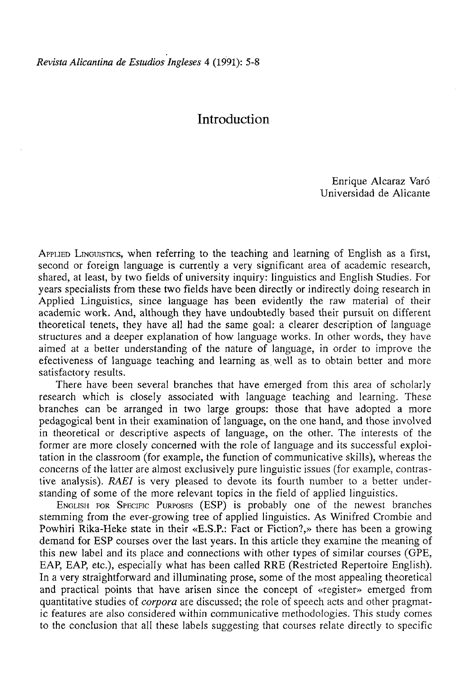## **Introduction**

Enrique Alcaraz Varó Universidad de Alicante

APPLIED LINGUISTICS, when referring to the teaching and learning of English as a first, second or foreign language is currently a very significant area of academic research, shared, at least, by two fields of university inquiry: linguistics and English Studies. For years specialists from these two fields have been directly or indirectly doing research in Applied Linguistics, since language has been evidently the raw material of their academic work. And, although they have undoubtedly based their pursuit on different theoretical tenets, they have all had the same goal: a clearer description of language structures and a deeper explanation of how language works. In other words, they have aimed at a better understanding of the nature of language, in order to improve the efectiveness of language teaching and learning as well as to obtain better and more satisfactory results.

There have been several branches that have emerged from this area of scholarly research which is closely associated with language teaching and learning. These branches can be arranged in two large groups: those that have adopted a more pedagogical bent in their examination of language, on the one hand, and those involved in theoretical or descriptive aspects of language, on the other. The interests of the former are more closely concerned with the role of language and its successful exploitation in the classroom (for example, the function of communicative skills), whereas the concerns of the latter are almost exclusively puré linguistic issues (for example, contrastive analysis). *RAEI* is very pleased to devote its fourth number to a better understanding of some of the more relevant topics in the field of applied linguistics.

ENGLISH FOR SPECIFIC PURPOSES (ESP) is probably one of the newest branches stemming from the ever-growing tree of applied linguistics. As Winifred Crombie and Powhiri Rika-Heke state in their «E.S.P.: Fact or Fiction?,» there has been a growing demand for ESP courses over the last years. In this article they examine the meaning of this new label and its place and connections with other types of similar courses (GPE, EAP, EAP, etc.), especially what has been called RRE (Restricted Repertoire English). In a very straightforward and illuminating prose, some of the most appealing theoretical and practical points that have arisen since the concept of «register» emerged from quantitative studies of *corpora* are discussed; the role of speech acts and other pragmatic features are also considered within communicative methodologies. This study comes to the conclusión that all these labels suggesting that courses relate directly to specific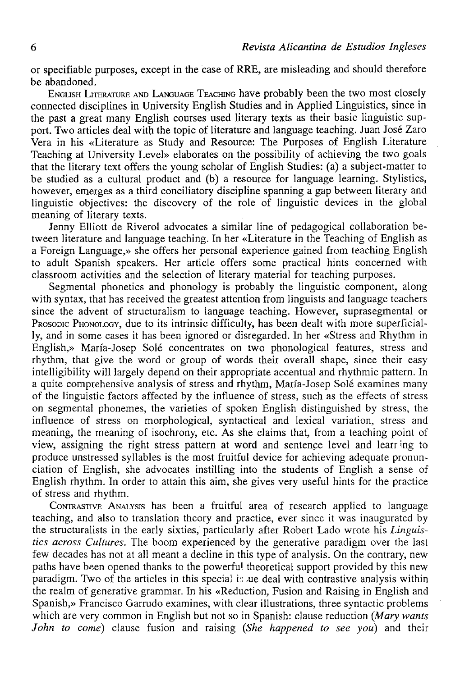or specifiable purposes, except in the case of RRE, are misleading and should therefore be abandoned.

ENGLISH LITERATURE AND LANGUAGE TEACHING have probably been the two most closely connected disciplines in University English Studies and in Applied Linguistics, since in the past a great many English courses used literary texts as their basic linguistic support. Two articles deal with the topic of literature and language teaching. Juan José Zaro Vera in his «Literature as Study and Resource: The Purposes of English Literature Teaching at University Level» elaborates on the possibility of achieving the two goals that the literary text offers the young scholar of English Studies: (a) a subject-matter to be studied as a cultural product and (b) a resource for language learning. Stylistics, however, emerges as a third conciliatory discipline spanning a gap between literary and linguistic objectives: the discovery of the role of linguistic devices in the global meaning of literary texts.

Jenny Elliott de Riverol advocates a similar line of pedagogical collaboration between literature and language teaching. In her «Literature in the Teaching of English as a Foreign Language,» she offers her personal experience gained from teaching English to adult Spanish speakers. Her article offers some practical hints concerned with classroom activities and the selection of literary material for teaching purposes.

Segmental phonetics and phonology is probably the linguistic component, along with syntax, that has received the greatest attention from linguists and language teachers since the advent of structuralism to language teaching. However, suprasegmental or PROSODIC PHONOLOGY, due to its intrinsic difficulty, has been dealt with more superficially, and in some cases it has been ignored or disregarded. In her «Stress and Rhythm in English,» María-Josep Solé concentrates on two phonological features, stress and rhythm, that give the word or group of words their overall shape, since their easy intelligibility will largely depend on their appropriate accentual and rhythmic pattern. In a quite comprehensive analysis of stress and rhythm, María-Josep Solé examines many of the linguistic factors affected by the influence of stress, such as the effeets of stress on segmental phonemes, the varieties of spoken English distinguished by stress, the influence of stress on morphological, syntactical and lexical variation, stress and meaning, the meaning of isochrony, etc. As she claims that, from a teaching point of view, assigning the right stress pattern at word and sentence level and learring to produce unstressed syllables is the most fruitful device for achieving adequate pronunciation of English, she advocates instilling into the students of English a sense of English rhythm. In order to attain this aim, she gives very useful hints for the practice of stress and rhythm.

CONTRASTIVE ANALYSIS has been a fruitful área of research applied to language teaching, and also to translation theory and practice, ever since it was inaugurated by the structuralists in the early sixties,' particularly after Robert Lado wrote his *Linguistics across Cultures.* The boom experienced by the generative paradigm over the last few decades has not at all meant a decline in this type of analysis. On the contrary, new paths have been opened thanks to the powerfu! theoretical support provided by this new paradigm. Two of the articles in this special is ,ue deal with contrastive analysis within the realm of generative grammar. In his «Reduction, Fusión and Raising in English and Spanish,» Francisco Garrudo examines, with clear illustrations, three syntactic problems which are very common in English but not so in Spanish: clause reduction (*Mary wants John to come)* clause fusión and raising *(She happened to see yoú)* and their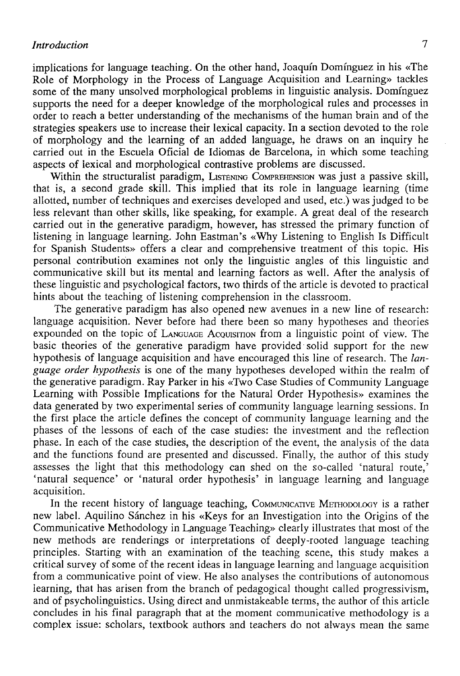implications for language teaching. On the other hand, Joaquín Domínguez in his «The Role of Morphology in the Process of Language Acquisition and Learning» tackles some of the many unsolved morphological problems in linguistic analysis. Domínguez supports the need for a deeper knowledge of the morphological rules and processes in order to reach a better understanding of the mechanisms of the human brain and of the strategies speakers use to increase their lexical capacity. In a section devoted to the role of morphology and the learning of an added language, he draws on an inquiry he carried out in the Escuela Oficial de Idiomas de Barcelona, in which some teaching aspects of lexical and morphological contrastive problems are discussed.

Within the structuralist paradigm, LISTENING COMPREHENSION was just a passive skill, that is, a second grade skill. This implied that its role in language learning (time allotted, number of techniques and exercises developed and used, etc.) was judged to be less relevant than other skills, like speaking, for example. A great deal of the research carried out in the generative paradigm, however, has stressed the primary function of listening in language learning. John Eastman's «Why Listening to English Is Difficult for Spanish Students» offers a clear and comprehensive treatment of this topic. His personal contribution examines not only the linguistic angles of this linguistic and communicative skill but its mental and learning factors as well. After the analysis of these linguistic and psychological factors, two thirds of the article is devoted to practical hints about the teaching of listening comprehension in the classroom.

The generative paradigm has also opened new avenues in a new line of research: language acquisition. Never before had there been so many hypotheses and theories expounded on the topic of LANGUAGE ACQUISITION from a linguistic point of view. The basic theories of the generative paradigm have provided solid support for the new hypothesis of language acquisition and have encouraged this line of research. The *language order hypothesis* is one of the many hypotheses developed within the realm of the generative paradigm. Ray Parker in his «Two Case Studies of Community Language Learning with Possible Implications for the Natural Order Hypothesis» examines the data generated by two experimental series of community language learning sessions. In the first place the article defines the concept of community language learning and the phases of the lessons of each of the case studies: the investment and the reflection phase. In each of the case studies, the description of the event, the analysis of the data and the functions found are presented and discussed. Finally, the author of this study assesses the light that this methodology can shed on the so-called 'natural route,' 'natural sequence' or 'natural order hypothesis' in language learning and language acquisition.

In the recent history of language teaching, COMMUNICATIVE METHODOLOGY is a rather new label. Aquilino Sánchez in his «Keys for an Investigation into the Origins of the Communicative Methodology in Language Teaching» clearly illustrates that most of the new methods are renderings or interpretations of deeply-rooted language teaching principies. Starting with an examination of the teaching scene, this study makes a critical survey of some of the recent ideas in language learning and language acquisition from a communicative point of view. He also analyses the contributions of autonomous iearning, that has arisen from the branch of pedagogical thought called progressivism, and of psycholinguistics. Using direct and unmistakeable terms, the author of this article concludes in his final paragraph that at the moment communicative methodology is a complex issue: scholars, textbook authors and teachers do not always mean the same